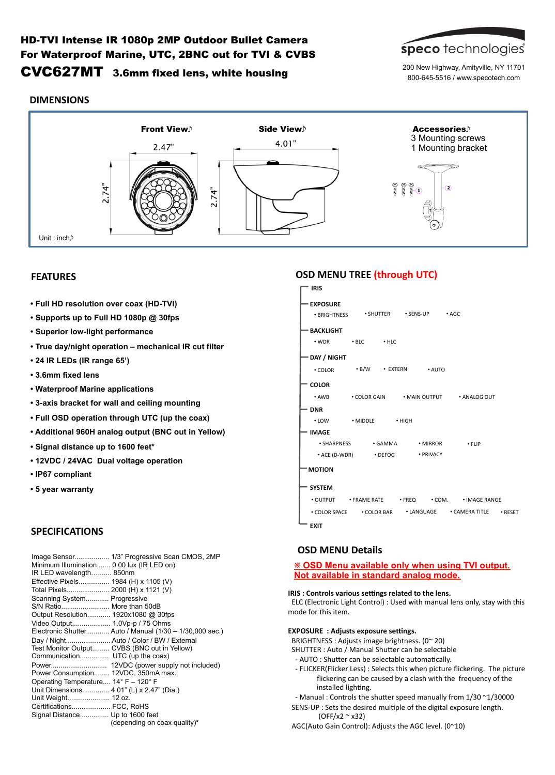# HD-TVI Intense IR 1080p 2MP Outdoor Bullet Camera For Waterproof Marine, UTC, 2BNC out for TVI & CVBS CVC627MT 3.6mm fixed lens, white housing



200 New Highway, Amityville, NY 11701 800-645-5516 / www.specotech.com

## **DIMENSIONS**



## **FEATURES**

- **Full HD resolution over coax (HD-TVI)**
- **Supports up to Full HD 1080p @ 30fps**
- **Superior low-light performance**
- **True day/night operation mechanical IR cut filter**
- **24 IR LEDs (IR range 65')**
- **3.6mm fixed lens**
- **Waterproof Marine applications**
- **3-axis bracket for wall and ceiling mounting**
- **Full OSD operation through UTC (up the coax)**
- **Additional 960H analog output (BNC out in Yellow)**
- **Signal distance up to 1600 feet\***
- **12VDC / 24VAC Dual voltage operation**
- **IP67 compliant**
- **5 year warranty**

## **SPECIFICATIONS**

| Image Sensor 1/3" Progressive Scan CMOS, 2MP<br>Minimum Illumination 0.00 lux (IR LED on)<br>IR LED wavelength 850nm<br>Effective Pixels 1984 (H) x 1105 (V)<br>Total Pixels 2000 (H) x 1121 (V)<br>Scanning System Progressive<br>S/N Ratio More than 50dB<br>Output Resolution 1920x1080 @ 30fps<br>Video Output 1.0Vp-p / 75 Ohms<br>Electronic Shutter Auto / Manual (1/30 - 1/30,000 sec.)<br>Day / Night Auto / Color / BW / External<br>Test Monitor Output CVBS (BNC out in Yellow)<br>Communication UTC (up the coax)<br>Power 12VDC (power supply not included)<br>Power Consumption 12VDC, 350mA max.<br>Operating Temperature 14° F - 120° F<br>Unit Dimensions 4.01" (L) x 2.47" (Dia.)<br>Unit Weight 12 oz.<br>Certifications FCC, RoHS |
|--------------------------------------------------------------------------------------------------------------------------------------------------------------------------------------------------------------------------------------------------------------------------------------------------------------------------------------------------------------------------------------------------------------------------------------------------------------------------------------------------------------------------------------------------------------------------------------------------------------------------------------------------------------------------------------------------------------------------------------------------------|
|                                                                                                                                                                                                                                                                                                                                                                                                                                                                                                                                                                                                                                                                                                                                                        |
| Signal Distance Up to 1600 feet<br>(depending on coax quality)*                                                                                                                                                                                                                                                                                                                                                                                                                                                                                                                                                                                                                                                                                        |

# **OSD MENU TREE (through UTC)**



**EXIT** 

## **OSD MENU Details**

### **※ OSD Menu available only when using TVI output. Not available in standard analog mode.**

#### **IRIS** : Controls various settings related to the lens.

ELC (Electronic Light Control) : Used with manual lens only, stay with this mode for this item.

## **EXPOSURE** : Adjusts exposure settings.

BRIGHTNESS : Adjusts image brightness.  $(0^{\sim} 20)$ 

- SHUTTER : Auto / Manual Shutter can be selectable
- AUTO : Shutter can be selectable automatically.
- FLICKER(Flicker Less) : Selects this when picture flickering. The picture flickering can be caused by a clash with the frequency of the installed lighting.
- Manual : Controls the shutter speed manually from  $1/30$   $\sim$ 1/30000 SENS-UP : Sets the desired multiple of the digital exposure length.

 (OFF/x2 ~ x32) AGC(Auto Gain Control): Adjusts the AGC level. (0~10)